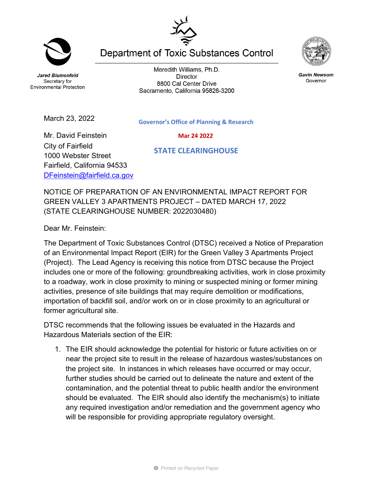**Jared Blumenfeld** Secretary for **Environmental Protection** 

March 23, 2022

Meredith Williams, Ph.D. **Director** 8800 Cal Center Drive Sacramento, California 95826-3200

**Department of Toxic Substances Control** 



 **Mar 24 2022**

 **STATE CLEARINGHOUSE**

Mr. David Feinstein City of Fairfield 1000 Webster Street Fairfield, California 94533 [DFeinstein@fairfield.ca.gov](mailto:DFeinstein@fairfield.ca.gov)

NOTICE OF PREPARATION OF AN ENVIRONMENTAL IMPACT REPORT FOR GREEN VALLEY 3 APARTMENTS PROJECT – DATED MARCH 17, 2022 (STATE CLEARINGHOUSE NUMBER: 2022030480)

Dear Mr. Feinstein:

The Department of Toxic Substances Control (DTSC) received a Notice of Preparation of an Environmental Impact Report (EIR) for the Green Valley 3 Apartments Project (Project). The Lead Agency is receiving this notice from DTSC because the Project includes one or more of the following: groundbreaking activities, work in close proximity to a roadway, work in close proximity to mining or suspected mining or former mining activities, presence of site buildings that may require demolition or modifications, importation of backfill soil, and/or work on or in close proximity to an agricultural or former agricultural site.

DTSC recommends that the following issues be evaluated in the Hazards and Hazardous Materials section of the EIR:

1. The EIR should acknowledge the potential for historic or future activities on or near the project site to result in the release of hazardous wastes/substances on the project site. In instances in which releases have occurred or may occur, further studies should be carried out to delineate the nature and extent of the contamination, and the potential threat to public health and/or the environment should be evaluated. The EIR should also identify the mechanism(s) to initiate any required investigation and/or remediation and the government agency who will be responsible for providing appropriate regulatory oversight.



**Gavin Newsom** Governor



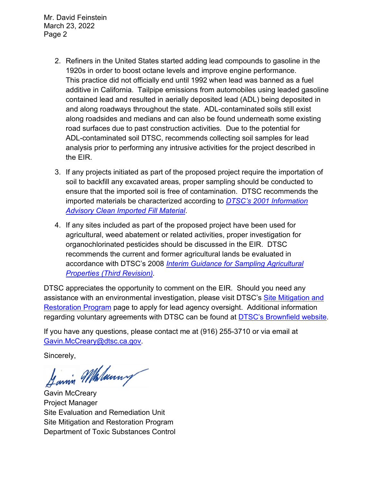Mr. David Feinstein March 23, 2022 Page 2

- 2. Refiners in the United States started adding lead compounds to gasoline in the 1920s in order to boost octane levels and improve engine performance. This practice did not officially end until 1992 when lead was banned as a fuel additive in California. Tailpipe emissions from automobiles using leaded gasoline contained lead and resulted in aerially deposited lead (ADL) being deposited in and along roadways throughout the state. ADL-contaminated soils still exist along roadsides and medians and can also be found underneath some existing road surfaces due to past construction activities. Due to the potential for ADL-contaminated soil DTSC, recommends collecting soil samples for lead analysis prior to performing any intrusive activities for the project described in the EIR.
- 3. If any projects initiated as part of the proposed project require the importation of soil to backfill any excavated areas, proper sampling should be conducted to ensure that the imported soil is free of contamination. DTSC recommends the imported materials be characterized according to *[DTSC's 2001 Information](https://dtsc.ca.gov/wp-content/uploads/sites/31/2018/09/SMP_FS_Cleanfill-Schools.pdf)  [Advisory Clean Imported Fill Material](https://dtsc.ca.gov/wp-content/uploads/sites/31/2018/09/SMP_FS_Cleanfill-Schools.pdf)*.
- 4. If any sites included as part of the proposed project have been used for agricultural, weed abatement or related activities, proper investigation for organochlorinated pesticides should be discussed in the EIR. DTSC recommends the current and former agricultural lands be evaluated in accordance with DTSC's 2008 *[Interim Guidance for Sampling Agricultural](https://dtsc.ca.gov/wp-content/uploads/sites/31/2018/09/Ag-Guidance-Rev-3-August-7-2008-2.pdf)  [Properties \(Third Revision\).](https://dtsc.ca.gov/wp-content/uploads/sites/31/2018/09/Ag-Guidance-Rev-3-August-7-2008-2.pdf)*

DTSC appreciates the opportunity to comment on the EIR. Should you need any assistance with an environmental investigation, please visit DTSC's [Site Mitigation and](https://dtsc.ca.gov/brownfields/voluntary-agreements-quick-reference-guide/) [Restoration Program](https://dtsc.ca.gov/brownfields/voluntary-agreements-quick-reference-guide/) page to apply for lead agency oversight. Additional information regarding voluntary agreements with DTSC can be found at **DTSC's Brownfield website**.

If you have any questions, please contact me at (916) 255-3710 or via email at [Gavin.McCreary@dtsc.ca.gov.](mailto:Gavin.McCreary@dtsc.ca.gov)

Sincerely,

Jannin Malanny

Gavin McCreary Project Manager Site Evaluation and Remediation Unit Site Mitigation and Restoration Program Department of Toxic Substances Control